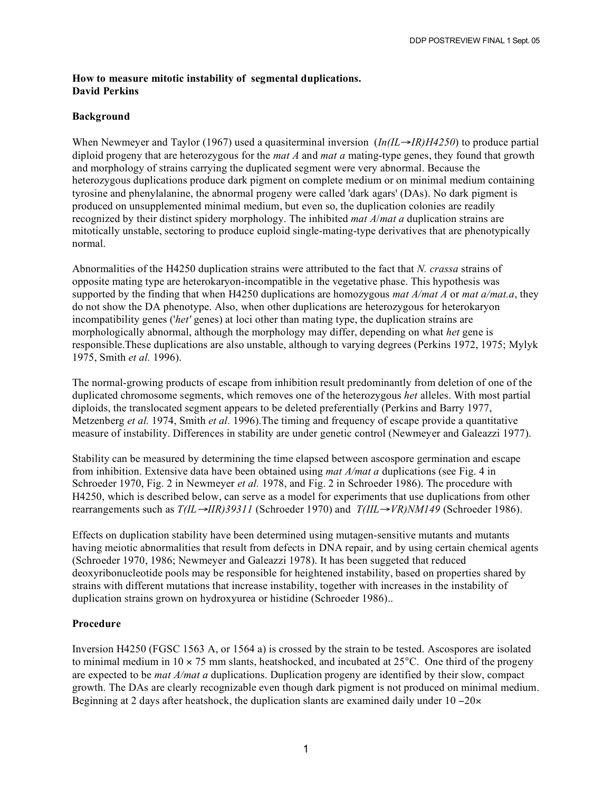## **How to measure mitotic instability of segmental duplications. David Perkins**

## **Background**

When Newmeyer and Taylor (1967) used a quasiterminal inversion (*In(IL*→*IR)H4250*) to produce partial diploid progeny that are heterozygous for the *mat A* and *mat a* mating-type genes, they found that growth and morphology of strains carrying the duplicated segment were very abnormal. Because the heterozygous duplications produce dark pigment on complete medium or on minimal medium containing tyrosine and phenylalanine, the abnormal progeny were called 'dark agars' (DAs). No dark pigment is produced on unsupplemented minimal medium, but even so, the duplication colonies are readily recognized by their distinct spidery morphology. The inhibited *mat A*/*mat a* duplication strains are mitotically unstable, sectoring to produce euploid single-mating-type derivatives that are phenotypically normal.

Abnormalities of the H4250 duplication strains were attributed to the fact that *N. crassa* strains of opposite mating type are heterokaryon-incompatible in the vegetative phase. This hypothesis was supported by the finding that when H4250 duplications are homozygous *mat A/mat A* or *mat a/mat.a*, they do not show the DA phenotype. Also, when other duplications are heterozygous for heterokaryon incompatibility genes ('*het'* genes) at loci other than mating type, the duplication strains are morphologically abnormal, although the morphology may differ, depending on what *het* gene is responsible.These duplications are also unstable, although to varying degrees (Perkins 1972, 1975; Mylyk 1975, Smith *et al.* 1996).

The normal-growing products of escape from inhibition result predominantly from deletion of one of the duplicated chromosome segments, which removes one of the heterozygous *het* alleles. With most partial diploids, the translocated segment appears to be deleted preferentially (Perkins and Barry 1977, Metzenberg *et al.* 1974, Smith *et al.* 1996).The timing and frequency of escape provide a quantitative measure of instability. Differences in stability are under genetic control (Newmeyer and Galeazzi 1977).

Stability can be measured by determining the time elapsed between ascospore germination and escape from inhibition. Extensive data have been obtained using *mat A/mat a* duplications (see Fig. 4 in Schroeder 1970, Fig. 2 in Newmeyer *et al.* 1978, and Fig. 2 in Schroeder 1986). The procedure with H4250, which is described below, can serve as a model for experiments that use duplications from other rearrangements such as *T(IL*→*IIR)39311* (Schroeder 1970) and *T(IIL*→*VR)NM149* (Schroeder 1986).

Effects on duplication stability have been determined using mutagen-sensitive mutants and mutants having meiotic abnormalities that result from defects in DNA repair, and by using certain chemical agents (Schroeder 1970, 1986; Newmeyer and Galeazzi 1978). It has been suggeted that reduced deoxyribonucleotide pools may be responsible for heightened instability, based on properties shared by strains with different mutations that increase instability, together with increases in the instability of duplication strains grown on hydroxyurea or histidine (Schroeder 1986)..

## **Procedure**

Inversion H4250 (FGSC 1563 A, or 1564 a) is crossed by the strain to be tested. Ascospores are isolated to minimal medium in  $10 \times 75$  mm slants, heatshocked, and incubated at  $25^{\circ}$ C. One third of the progeny are expected to be *mat A/mat a* duplications. Duplication progeny are identified by their slow, compact growth. The DAs are clearly recognizable even though dark pigment is not produced on minimal medium. Beginning at 2 days after heatshock, the duplication slants are examined daily under 10 −20×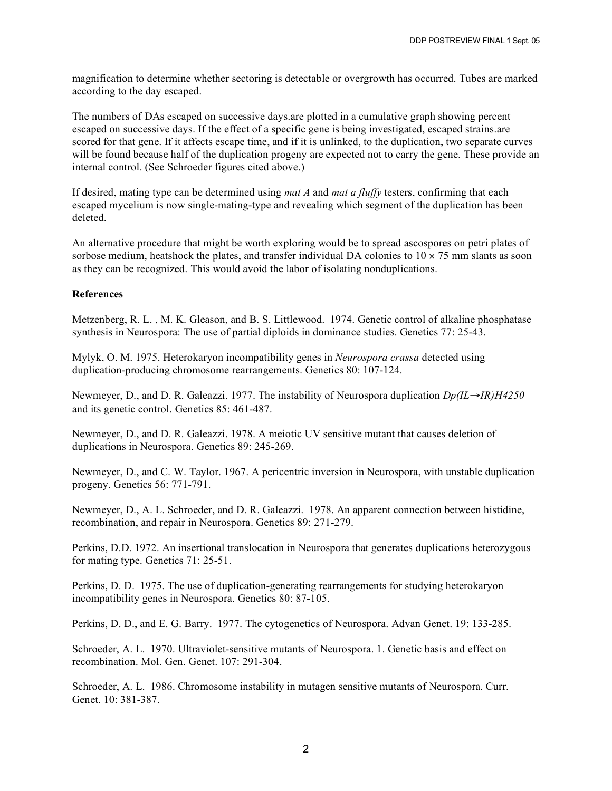magnification to determine whether sectoring is detectable or overgrowth has occurred. Tubes are marked according to the day escaped.

The numbers of DAs escaped on successive days.are plotted in a cumulative graph showing percent escaped on successive days. If the effect of a specific gene is being investigated, escaped strains.are scored for that gene. If it affects escape time, and if it is unlinked, to the duplication, two separate curves will be found because half of the duplication progeny are expected not to carry the gene. These provide an internal control. (See Schroeder figures cited above.)

If desired, mating type can be determined using *mat A* and *mat a fluffy* testers, confirming that each escaped mycelium is now single-mating-type and revealing which segment of the duplication has been deleted.

An alternative procedure that might be worth exploring would be to spread ascospores on petri plates of sorbose medium, heatshock the plates, and transfer individual DA colonies to  $10 \times 75$  mm slants as soon as they can be recognized. This would avoid the labor of isolating nonduplications.

## **References**

Metzenberg, R. L. , M. K. Gleason, and B. S. Littlewood. 1974. Genetic control of alkaline phosphatase synthesis in Neurospora: The use of partial diploids in dominance studies. Genetics 77: 25-43.

Mylyk, O. M. 1975. Heterokaryon incompatibility genes in *Neurospora crassa* detected using duplication-producing chromosome rearrangements. Genetics 80: 107-124.

Newmeyer, D., and D. R. Galeazzi. 1977. The instability of Neurospora duplication *Dp(IL*→*IR)H4250* and its genetic control. Genetics 85: 461-487.

Newmeyer, D., and D. R. Galeazzi. 1978. A meiotic UV sensitive mutant that causes deletion of duplications in Neurospora. Genetics 89: 245-269.

Newmeyer, D., and C. W. Taylor. 1967. A pericentric inversion in Neurospora, with unstable duplication progeny. Genetics 56: 771-791.

Newmeyer, D., A. L. Schroeder, and D. R. Galeazzi. 1978. An apparent connection between histidine, recombination, and repair in Neurospora. Genetics 89: 271-279.

Perkins, D.D. 1972. An insertional translocation in Neurospora that generates duplications heterozygous for mating type. Genetics 71: 25-51.

Perkins, D. D. 1975. The use of duplication-generating rearrangements for studying heterokaryon incompatibility genes in Neurospora. Genetics 80: 87-105.

Perkins, D. D., and E. G. Barry. 1977. The cytogenetics of Neurospora. Advan Genet. 19: 133-285.

Schroeder, A. L. 1970. Ultraviolet-sensitive mutants of Neurospora. 1. Genetic basis and effect on recombination. Mol. Gen. Genet. 107: 291-304.

Schroeder, A. L. 1986. Chromosome instability in mutagen sensitive mutants of Neurospora. Curr. Genet. 10: 381-387.